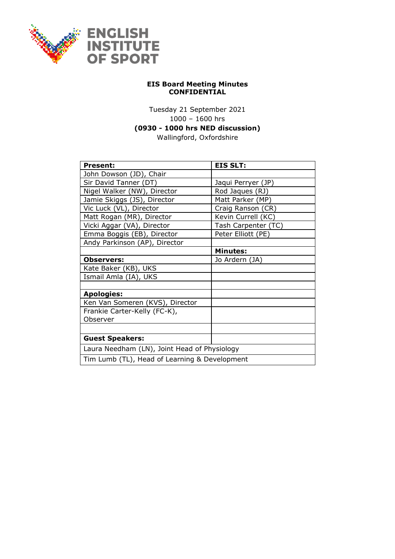

## **EIS Board Meeting Minutes CONFIDENTIAL**

Tuesday 21 September 2021 1000 – 1600 hrs **(0930 - 1000 hrs NED discussion)** Wallingford, Oxfordshire

| <b>Present:</b>                               | <b>EIS SLT:</b>     |  |
|-----------------------------------------------|---------------------|--|
| John Dowson (JD), Chair                       |                     |  |
| Sir David Tanner (DT)                         | Jaqui Perryer (JP)  |  |
| Nigel Walker (NW), Director                   | Rod Jaques (RJ)     |  |
| Jamie Skiggs (JS), Director                   | Matt Parker (MP)    |  |
| Vic Luck (VL), Director                       | Craig Ranson (CR)   |  |
| Matt Rogan (MR), Director                     | Kevin Currell (KC)  |  |
| Vicki Aggar (VA), Director                    | Tash Carpenter (TC) |  |
| Emma Boggis (EB), Director                    | Peter Elliott (PE)  |  |
| Andy Parkinson (AP), Director                 |                     |  |
|                                               | <b>Minutes:</b>     |  |
| <b>Observers:</b>                             | Jo Ardern (JA)      |  |
| Kate Baker (KB), UKS                          |                     |  |
| Ismail Amla (IA), UKS                         |                     |  |
|                                               |                     |  |
| <b>Apologies:</b>                             |                     |  |
| Ken Van Someren (KVS), Director               |                     |  |
| Frankie Carter-Kelly (FC-K),                  |                     |  |
| Observer                                      |                     |  |
|                                               |                     |  |
| <b>Guest Speakers:</b>                        |                     |  |
| Laura Needham (LN), Joint Head of Physiology  |                     |  |
| Tim Lumb (TL), Head of Learning & Development |                     |  |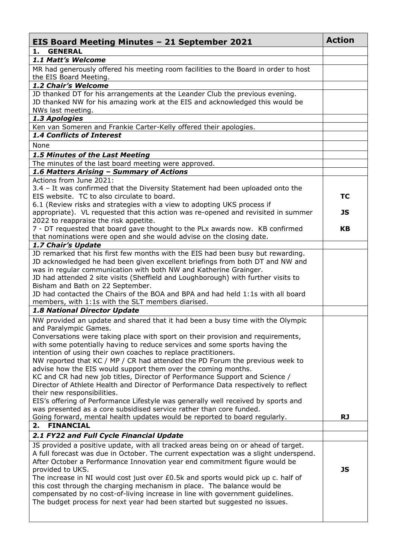| <b>EIS Board Meeting Minutes - 21 September 2021</b>                                                                  | <b>Action</b> |
|-----------------------------------------------------------------------------------------------------------------------|---------------|
| <b>GENERAL</b><br>1.                                                                                                  |               |
| 1.1 Matt's Welcome                                                                                                    |               |
| MR had generously offered his meeting room facilities to the Board in order to host<br>the EIS Board Meeting.         |               |
| 1.2 Chair's Welcome                                                                                                   |               |
| JD thanked DT for his arrangements at the Leander Club the previous evening.                                          |               |
| JD thanked NW for his amazing work at the EIS and acknowledged this would be                                          |               |
| NWs last meeting.                                                                                                     |               |
| 1.3 Apologies                                                                                                         |               |
| Ken van Someren and Frankie Carter-Kelly offered their apologies.                                                     |               |
| 1.4 Conflicts of Interest                                                                                             |               |
| None                                                                                                                  |               |
| 1.5 Minutes of the Last Meeting                                                                                       |               |
| The minutes of the last board meeting were approved.                                                                  |               |
| 1.6 Matters Arising - Summary of Actions                                                                              |               |
| Actions from June 2021:                                                                                               |               |
| 3.4 - It was confirmed that the Diversity Statement had been uploaded onto the                                        |               |
| EIS website. TC to also circulate to board.                                                                           | ТC            |
| 6.1 (Review risks and strategies with a view to adopting UKS process if                                               |               |
| appropriate). VL requested that this action was re-opened and revisited in summer                                     | JS            |
| 2022 to reappraise the risk appetite.                                                                                 |               |
| 7 - DT requested that board gave thought to the PLx awards now. KB confirmed                                          | KB            |
| that nominations were open and she would advise on the closing date.                                                  |               |
| 1.7 Chair's Update                                                                                                    |               |
| JD remarked that his first few months with the EIS had been busy but rewarding.                                       |               |
| JD acknowledged he had been given excellent briefings from both DT and NW and                                         |               |
| was in regular communication with both NW and Katherine Grainger.                                                     |               |
| JD had attended 2 site visits (Sheffield and Loughborough) with further visits to<br>Bisham and Bath on 22 September. |               |
| JD had contacted the Chairs of the BOA and BPA and had held 1:1s with all board                                       |               |
| members, with 1:1s with the SLT members diarised.                                                                     |               |
| 1.8 National Director Update                                                                                          |               |
| NW provided an update and shared that it had been a busy time with the Olympic                                        |               |
| and Paralympic Games.                                                                                                 |               |
| Conversations were taking place with sport on their provision and requirements,                                       |               |
| with some potentially having to reduce services and some sports having the                                            |               |
| intention of using their own coaches to replace practitioners.                                                        |               |
| NW reported that KC / MP / CR had attended the PD Forum the previous week to                                          |               |
| advise how the EIS would support them over the coming months.                                                         |               |
| KC and CR had new job titles, Director of Performance Support and Science /                                           |               |
| Director of Athlete Health and Director of Performance Data respectively to reflect                                   |               |
| their new responsibilities.                                                                                           |               |
| EIS's offering of Performance Lifestyle was generally well received by sports and                                     |               |
| was presented as a core subsidised service rather than core funded.                                                   |               |
| Going forward, mental health updates would be reported to board regularly.                                            | <b>RJ</b>     |
| 2. FINANCIAL                                                                                                          |               |
| 2.1 FY22 and Full Cycle Financial Update                                                                              |               |
| JS provided a positive update, with all tracked areas being on or ahead of target.                                    |               |
| A full forecast was due in October. The current expectation was a slight underspend.                                  |               |
| After October a Performance Innovation year end commitment figure would be                                            |               |
| provided to UKS.                                                                                                      | <b>JS</b>     |
| The increase in NI would cost just over $E0.5k$ and sports would pick up c. half of                                   |               |
| this cost through the charging mechanism in place. The balance would be                                               |               |
| compensated by no cost-of-living increase in line with government guidelines.                                         |               |
| The budget process for next year had been started but suggested no issues.                                            |               |
|                                                                                                                       |               |
|                                                                                                                       |               |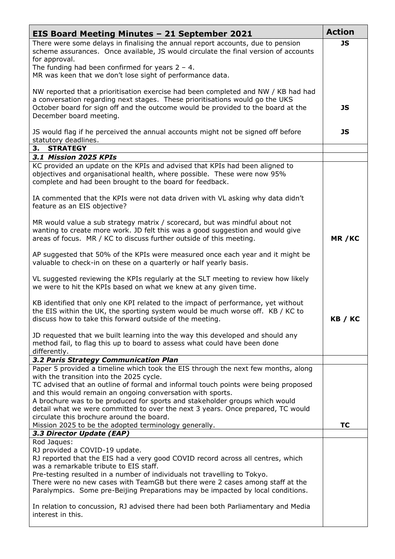| <b>EIS Board Meeting Minutes - 21 September 2021</b>                                                                                                                                                                                                                                                                                                                                                                                                | <b>Action</b> |
|-----------------------------------------------------------------------------------------------------------------------------------------------------------------------------------------------------------------------------------------------------------------------------------------------------------------------------------------------------------------------------------------------------------------------------------------------------|---------------|
| There were some delays in finalising the annual report accounts, due to pension<br>scheme assurances. Once available, JS would circulate the final version of accounts<br>for approval.                                                                                                                                                                                                                                                             |               |
| The funding had been confirmed for years $2 - 4$ .<br>MR was keen that we don't lose sight of performance data.                                                                                                                                                                                                                                                                                                                                     |               |
| NW reported that a prioritisation exercise had been completed and NW / KB had had<br>a conversation regarding next stages. These prioritisations would go the UKS<br>October board for sign off and the outcome would be provided to the board at the<br>December board meeting.                                                                                                                                                                    | <b>JS</b>     |
| JS would flag if he perceived the annual accounts might not be signed off before<br>statutory deadlines.                                                                                                                                                                                                                                                                                                                                            | <b>JS</b>     |
| 3. STRATEGY                                                                                                                                                                                                                                                                                                                                                                                                                                         |               |
| 3.1 Mission 2025 KPIs<br>KC provided an update on the KPIs and advised that KPIs had been aligned to<br>objectives and organisational health, where possible. These were now 95%<br>complete and had been brought to the board for feedback.                                                                                                                                                                                                        |               |
| IA commented that the KPIs were not data driven with VL asking why data didn't<br>feature as an EIS objective?                                                                                                                                                                                                                                                                                                                                      |               |
| MR would value a sub strategy matrix / scorecard, but was mindful about not<br>wanting to create more work. JD felt this was a good suggestion and would give<br>areas of focus. MR / KC to discuss further outside of this meeting.                                                                                                                                                                                                                | MR/KC         |
| AP suggested that 50% of the KPIs were measured once each year and it might be<br>valuable to check-in on these on a quarterly or half yearly basis.                                                                                                                                                                                                                                                                                                |               |
| VL suggested reviewing the KPIs regularly at the SLT meeting to review how likely<br>we were to hit the KPIs based on what we knew at any given time.                                                                                                                                                                                                                                                                                               |               |
| KB identified that only one KPI related to the impact of performance, yet without<br>the EIS within the UK, the sporting system would be much worse off. KB / KC to<br>discuss how to take this forward outside of the meeting.                                                                                                                                                                                                                     | KB / KC       |
| JD requested that we built learning into the way this developed and should any<br>method fail, to flag this up to board to assess what could have been done<br>differently.                                                                                                                                                                                                                                                                         |               |
| 3.2 Paris Strategy Communication Plan                                                                                                                                                                                                                                                                                                                                                                                                               |               |
| Paper 5 provided a timeline which took the EIS through the next few months, along<br>with the transition into the 2025 cycle.<br>TC advised that an outline of formal and informal touch points were being proposed<br>and this would remain an ongoing conversation with sports.<br>A brochure was to be produced for sports and stakeholder groups which would<br>detail what we were committed to over the next 3 years. Once prepared, TC would |               |
| circulate this brochure around the board.<br>Mission 2025 to be the adopted terminology generally.                                                                                                                                                                                                                                                                                                                                                  | TC            |
| 3.3 Director Update (EAP)                                                                                                                                                                                                                                                                                                                                                                                                                           |               |
| Rod Jaques:<br>RJ provided a COVID-19 update.<br>RJ reported that the EIS had a very good COVID record across all centres, which<br>was a remarkable tribute to EIS staff.<br>Pre-testing resulted in a number of individuals not travelling to Tokyo.<br>There were no new cases with TeamGB but there were 2 cases among staff at the<br>Paralympics. Some pre-Beijing Preparations may be impacted by local conditions.                          |               |
| In relation to concussion, RJ advised there had been both Parliamentary and Media<br>interest in this.                                                                                                                                                                                                                                                                                                                                              |               |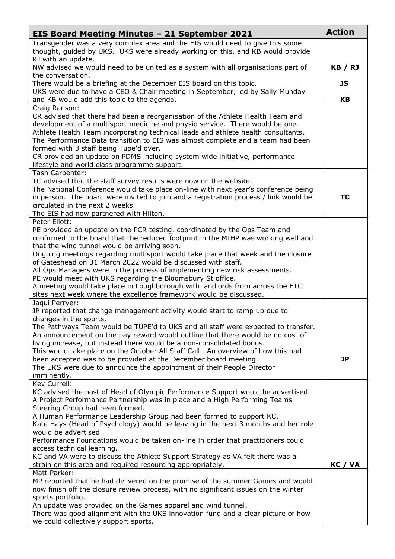| <b>EIS Board Meeting Minutes - 21 September 2021</b>                                                                                                                                                                                                                                                                                                                                                                                                                                                                                                                                                                                                                                    | <b>Action</b> |
|-----------------------------------------------------------------------------------------------------------------------------------------------------------------------------------------------------------------------------------------------------------------------------------------------------------------------------------------------------------------------------------------------------------------------------------------------------------------------------------------------------------------------------------------------------------------------------------------------------------------------------------------------------------------------------------------|---------------|
| Transgender was a very complex area and the EIS would need to give this some<br>thought, guided by UKS. UKS were already working on this, and KB would provide                                                                                                                                                                                                                                                                                                                                                                                                                                                                                                                          |               |
| RJ with an update.<br>NW advised we would need to be united as a system with all organisations part of                                                                                                                                                                                                                                                                                                                                                                                                                                                                                                                                                                                  |               |
| the conversation.<br>There would be a briefing at the December EIS board on this topic.<br>UKS were due to have a CEO & Chair meeting in September, led by Sally Munday                                                                                                                                                                                                                                                                                                                                                                                                                                                                                                                 |               |
| and KB would add this topic to the agenda.<br>Craig Ranson:                                                                                                                                                                                                                                                                                                                                                                                                                                                                                                                                                                                                                             | <b>KB</b>     |
| CR advised that there had been a reorganisation of the Athlete Health Team and<br>development of a multisport medicine and physio service. There would be one<br>Athlete Health Team incorporating technical leads and athlete health consultants.<br>The Performance Data transition to EIS was almost complete and a team had been<br>formed with 3 staff being Tupe'd over.<br>CR provided an update on PDMS including system wide initiative, performance<br>lifestyle and world class programme support.                                                                                                                                                                           |               |
| Tash Carpenter:<br>TC advised that the staff survey results were now on the website.<br>The National Conference would take place on-line with next year's conference being<br>in person. The board were invited to join and a registration process / link would be<br>circulated in the next 2 weeks.<br>The EIS had now partnered with Hilton.                                                                                                                                                                                                                                                                                                                                         | <b>TC</b>     |
| Peter Eliott:<br>PE provided an update on the PCR testing, coordinated by the Ops Team and<br>confirmed to the board that the reduced footprint in the MIHP was working well and<br>that the wind tunnel would be arriving soon.<br>Ongoing meetings regarding multisport would take place that week and the closure<br>of Gateshead on 31 March 2022 would be discussed with staff.<br>All Ops Managers were in the process of implementing new risk assessments.<br>PE would meet with UKS regarding the Bloomsbury St office.<br>A meeting would take place in Loughborough with landlords from across the ETC<br>sites next week where the excellence framework would be discussed. |               |
| Jaqui Perryer:<br>JP reported that change management activity would start to ramp up due to<br>changes in the sports.<br>The Pathways Team would be TUPE'd to UKS and all staff were expected to transfer.<br>An announcement on the pay reward would outline that there would be no cost of<br>living increase, but instead there would be a non-consolidated bonus.<br>This would take place on the October All Staff Call. An overview of how this had<br>been accepted was to be provided at the December board meeting.<br>The UKS were due to announce the appointment of their People Director<br>imminently.                                                                    | JP            |
| Kev Currell:<br>KC advised the post of Head of Olympic Performance Support would be advertised.<br>A Project Performance Partnership was in place and a High Performing Teams<br>Steering Group had been formed.<br>A Human Performance Leadership Group had been formed to support KC.<br>Kate Hays (Head of Psychology) would be leaving in the next 3 months and her role<br>would be advertised.<br>Performance Foundations would be taken on-line in order that practitioners could<br>access technical learning.<br>KC and VA were to discuss the Athlete Support Strategy as VA felt there was a<br>strain on this area and required resourcing appropriately.<br>Matt Parker:   | KC / VA       |
| MP reported that he had delivered on the promise of the summer Games and would<br>now finish off the closure review process, with no significant issues on the winter<br>sports portfolio.<br>An update was provided on the Games apparel and wind tunnel.<br>There was good alignment with the UKS innovation fund and a clear picture of how<br>we could collectively support sports.                                                                                                                                                                                                                                                                                                 |               |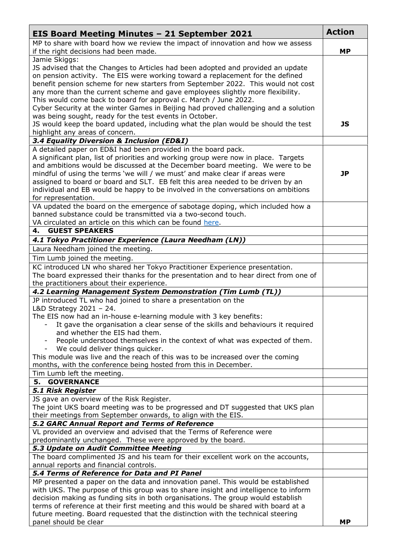| <b>EIS Board Meeting Minutes - 21 September 2021</b>                                                                                                               | <b>Action</b> |
|--------------------------------------------------------------------------------------------------------------------------------------------------------------------|---------------|
| MP to share with board how we review the impact of innovation and how we assess                                                                                    |               |
| if the right decisions had been made.                                                                                                                              | <b>MP</b>     |
| Jamie Skiggs:                                                                                                                                                      |               |
| JS advised that the Changes to Articles had been adopted and provided an update                                                                                    |               |
| on pension activity. The EIS were working toward a replacement for the defined                                                                                     |               |
| benefit pension scheme for new starters from September 2022. This would not cost<br>any more than the current scheme and gave employees slightly more flexibility. |               |
| This would come back to board for approval c. March / June 2022.                                                                                                   |               |
| Cyber Security at the winter Games in Beijing had proved challenging and a solution                                                                                |               |
| was being sought, ready for the test events in October.                                                                                                            |               |
| JS would keep the board updated, including what the plan would be should the test                                                                                  | JS            |
| highlight any areas of concern.                                                                                                                                    |               |
| 3.4 Equality Diversion & Inclusion (ED&I)                                                                                                                          |               |
| A detailed paper on ED&I had been provided in the board pack.                                                                                                      |               |
| A significant plan, list of priorities and working group were now in place. Targets                                                                                |               |
| and ambitions would be discussed at the December board meeting. We were to be                                                                                      |               |
| mindful of using the terms 'we will / we must' and make clear if areas were                                                                                        | JP            |
| assigned to board or board and SLT. EB felt this area needed to be driven by an                                                                                    |               |
| individual and EB would be happy to be involved in the conversations on ambitions                                                                                  |               |
| for representation.                                                                                                                                                |               |
| VA updated the board on the emergence of sabotage doping, which included how a<br>banned substance could be transmitted via a two-second touch.                    |               |
| VA circulated an article on this which can be found here.                                                                                                          |               |
| <b>GUEST SPEAKERS</b><br>4.                                                                                                                                        |               |
| 4.1 Tokyo Practitioner Experience (Laura Needham (LN))                                                                                                             |               |
| Laura Needham joined the meeting.                                                                                                                                  |               |
| Tim Lumb joined the meeting.                                                                                                                                       |               |
| KC introduced LN who shared her Tokyo Practitioner Experience presentation.                                                                                        |               |
| The board expressed their thanks for the presentation and to hear direct from one of                                                                               |               |
| the practitioners about their experience.                                                                                                                          |               |
| 4.2 Learning Management System Demonstration (Tim Lumb (TL))                                                                                                       |               |
| JP introduced TL who had joined to share a presentation on the                                                                                                     |               |
| L&D Strategy 2021 - 24.                                                                                                                                            |               |
| The EIS now had an in-house e-learning module with 3 key benefits:                                                                                                 |               |
| It gave the organisation a clear sense of the skills and behaviours it required                                                                                    |               |
| and whether the EIS had them.                                                                                                                                      |               |
| People understood themselves in the context of what was expected of them.<br>We could deliver things quicker.                                                      |               |
| This module was live and the reach of this was to be increased over the coming                                                                                     |               |
| months, with the conference being hosted from this in December.                                                                                                    |               |
| Tim Lumb left the meeting.                                                                                                                                         |               |
| 5. GOVERNANCE                                                                                                                                                      |               |
| <b>5.1 Risk Register</b>                                                                                                                                           |               |
| JS gave an overview of the Risk Register.                                                                                                                          |               |
| The joint UKS board meeting was to be progressed and DT suggested that UKS plan                                                                                    |               |
| their meetings from September onwards, to align with the EIS.                                                                                                      |               |
| 5.2 GARC Annual Report and Terms of Reference                                                                                                                      |               |
| VL provided an overview and advised that the Terms of Reference were                                                                                               |               |
| predominantly unchanged. These were approved by the board.<br>5.3 Update on Audit Committee Meeting                                                                |               |
| The board complimented JS and his team for their excellent work on the accounts,                                                                                   |               |
| annual reports and financial controls.                                                                                                                             |               |
| 5.4 Terms of Reference for Data and PI Panel                                                                                                                       |               |
| MP presented a paper on the data and innovation panel. This would be established                                                                                   |               |
| with UKS. The purpose of this group was to share insight and intelligence to inform                                                                                |               |
| decision making as funding sits in both organisations. The group would establish                                                                                   |               |
| terms of reference at their first meeting and this would be shared with board at a                                                                                 |               |
| future meeting. Board requested that the distinction with the technical steering                                                                                   | <b>MP</b>     |
| panel should be clear                                                                                                                                              |               |